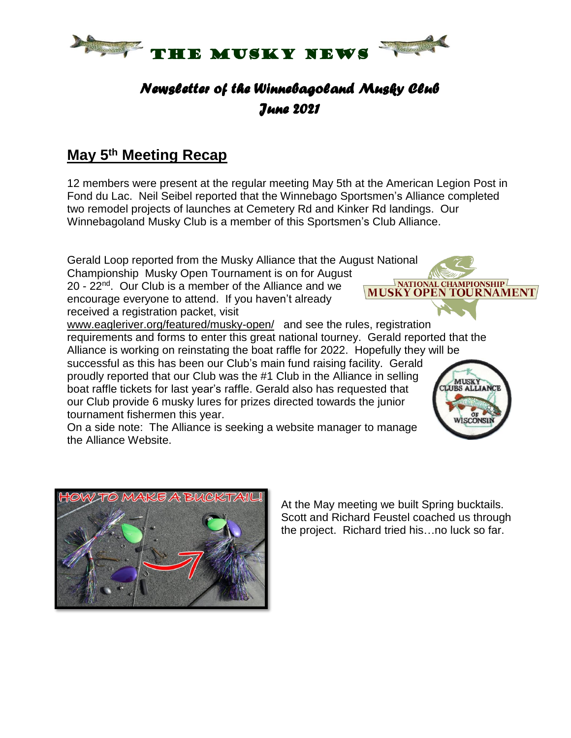

# *Newsletter of the Winnebagoland Musky Club June 2021*

#### **May 5 th Meeting Recap**

12 members were present at the regular meeting May 5th at the American Legion Post in Fond du Lac. Neil Seibel reported that the Winnebago Sportsmen's Alliance completed two remodel projects of launches at Cemetery Rd and Kinker Rd landings. Our Winnebagoland Musky Club is a member of this Sportsmen's Club Alliance.

Gerald Loop reported from the Musky Alliance that the August National Championship Musky Open Tournament is on for August **MUSKY OPEN TOURNAMENT** 

20 - 22<sup>nd</sup>. Our Club is a member of the Alliance and we encourage everyone to attend. If you haven't already received a registration packet, visit

[www.eagleriver.org/featured/musky-open/](http://www.eagleriver.org/featured/musky-open/) and see the rules, registration requirements and forms to enter this great national tourney. Gerald reported that the Alliance is working on reinstating the boat raffle for 2022. Hopefully they will be successful as this has been our Club's main fund raising facility. Gerald proudly reported that our Club was the #1 Club in the Alliance in selling **TUSK** boat raffle tickets for last year's raffle. Gerald also has requested that our Club provide 6 musky lures for prizes directed towards the junior tournament fishermen this year.

On a side note: The Alliance is seeking a website manager to manage the Alliance Website.





At the May meeting we built Spring bucktails. Scott and Richard Feustel coached us through the project. Richard tried his…no luck so far.